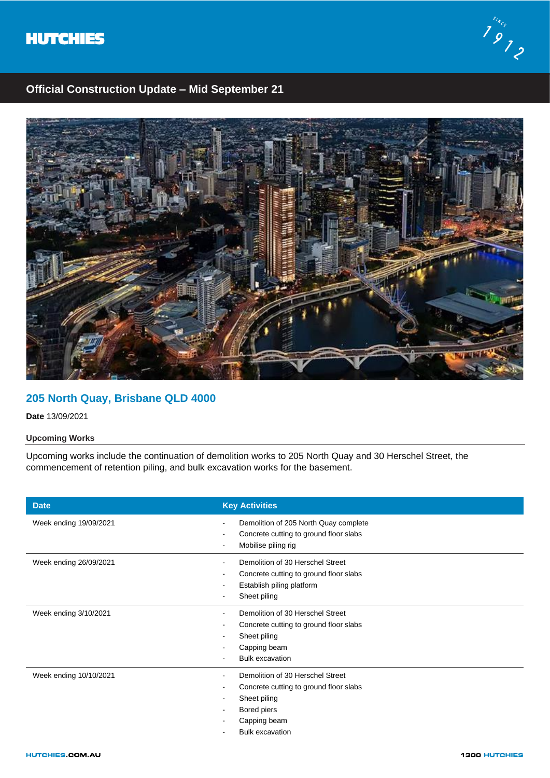



## **Official Construction Update – Mid September 21**



# **205 North Quay, Brisbane QLD 4000**

**Date** 13/09/2021

#### **Upcoming Works**

Upcoming works include the continuation of demolition works to 205 North Quay and 30 Herschel Street, the commencement of retention piling, and bulk excavation works for the basement.

| <b>Date</b>            | <b>Key Activities</b>                                                                                                                               |
|------------------------|-----------------------------------------------------------------------------------------------------------------------------------------------------|
| Week ending 19/09/2021 | Demolition of 205 North Quay complete<br>Concrete cutting to ground floor slabs<br>Mobilise piling rig                                              |
| Week ending 26/09/2021 | Demolition of 30 Herschel Street<br>۰<br>Concrete cutting to ground floor slabs<br>Establish piling platform<br>Sheet piling                        |
| Week ending 3/10/2021  | Demolition of 30 Herschel Street<br>$\sim$<br>Concrete cutting to ground floor slabs<br>Sheet piling<br>Capping beam<br><b>Bulk excavation</b>      |
| Week ending 10/10/2021 | Demolition of 30 Herschel Street<br>Concrete cutting to ground floor slabs<br>Sheet piling<br>Bored piers<br>Capping beam<br><b>Bulk excavation</b> |